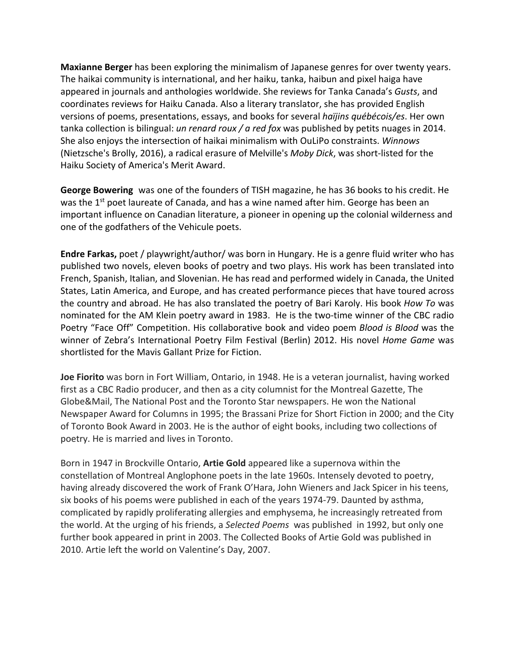**Maxianne Berger** has been exploring the minimalism of Japanese genres for over twenty years. The haikai community is international, and her haiku, tanka, haibun and pixel haiga have appeared in journals and anthologies worldwide. She reviews for Tanka Canada's *Gusts*, and coordinates reviews for Haiku Canada. Also a literary translator, she has provided English versions of poems, presentations, essays, and books for several *haïjins québécois/es*. Her own tanka collection is bilingual: *un renard roux / a red fox* was published by petits nuages in 2014. She also enjoys the intersection of haikai minimalism with OuLiPo constraints. *Winnows* (Nietzsche's Brolly, 2016), a radical erasure of Melville's *Moby Dick*, was short-listed for the Haiku Society of America's Merit Award.

**George Bowering** was one of the founders of TISH magazine, he has 36 books to his credit. He was the  $1^{st}$  poet laureate of Canada, and has a wine named after him. George has been an important influence on Canadian literature, a pioneer in opening up the colonial wilderness and one of the godfathers of the Vehicule poets.

**Endre Farkas,** poet / playwright/author/ was born in Hungary. He is a genre fluid writer who has published two novels, eleven books of poetry and two plays. His work has been translated into French, Spanish, Italian, and Slovenian. He has read and performed widely in Canada, the United States, Latin America, and Europe, and has created performance pieces that have toured across the country and abroad. He has also translated the poetry of Bari Karoly. His book *How To* was nominated for the AM Klein poetry award in 1983. He is the two-time winner of the CBC radio Poetry "Face Off" Competition. His collaborative book and video poem *Blood is Blood* was the winner of Zebra's International Poetry Film Festival (Berlin) 2012. His novel *Home Game* was shortlisted for the Mavis Gallant Prize for Fiction.

**Joe Fiorito** was born in Fort William, Ontario, in 1948. He is a veteran journalist, having worked first as a CBC Radio producer, and then as a city columnist for the Montreal Gazette, The Globe&Mail, The National Post and the Toronto Star newspapers. He won the National Newspaper Award for Columns in 1995; the Brassani Prize for Short Fiction in 2000; and the City of Toronto Book Award in 2003. He is the author of eight books, including two collections of poetry. He is married and lives in Toronto.

Born in 1947 in Brockville Ontario, **Artie Gold** appeared like a supernova within the constellation of Montreal Anglophone poets in the late 1960s. Intensely devoted to poetry, having already discovered the work of Frank O'Hara, John Wieners and Jack Spicer in his teens, six books of his poems were published in each of the years 1974-79. Daunted by asthma, complicated by rapidly proliferating allergies and emphysema, he increasingly retreated from the world. At the urging of his friends, a *Selected Poems* was published in 1992, but only one further book appeared in print in 2003. The Collected Books of Artie Gold was published in 2010. Artie left the world on Valentine's Day, 2007.